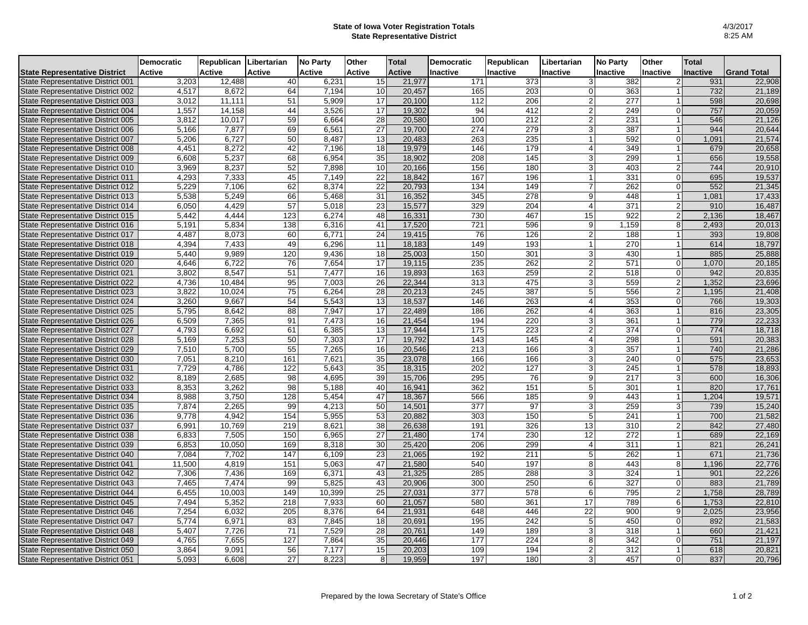## **State of Iowa Voter Registration Totals State Representative District**

|                                                                        | <b>Democratic</b> | Republican Libertarian |               | <b>No Party</b> | Other           | Total            | <b>Democratic</b> | Republican | Libertarian                      | <b>No Party</b> | Other           | <b>Total</b> |                    |
|------------------------------------------------------------------------|-------------------|------------------------|---------------|-----------------|-----------------|------------------|-------------------|------------|----------------------------------|-----------------|-----------------|--------------|--------------------|
| <b>State Representative District</b>                                   | <b>Active</b>     | Active                 | <b>Active</b> | <b>Active</b>   | Active          | <b>Active</b>    | Inactive          | Inactive   | Inactive                         | <b>Inactive</b> | <b>Inactive</b> | Inactive     | <b>Grand Total</b> |
| State Representative District 001                                      | 3,203             | 12,488                 | 40            | 6,231           | 15              | 21,977           | 171               | 373        | 3 <sup>1</sup>                   | 382             |                 | 931          | 22,908             |
| State Representative District 002                                      | 4,517             | 8,672                  | 64            | 7,194           | 10              | 20,457           | 165               | 203        | $\overline{0}$                   | 363             |                 | 732          | 21,189             |
| State Representative District 003                                      | 3.012             | 11,111                 | 51            | 5.909           | 17              | 20,100           | 112               | 206        | $\overline{2}$                   | 277             |                 | 598          | 20,698             |
| State Representative District 004                                      | 1,557             | 14,158                 | 44            | 3,526           | 17              | 19,302           | 94                | 412        | 2 <sup>1</sup>                   | 249             | $\Omega$        | 757          | 20,059             |
| State Representative District 005                                      | 3,812             | 10,017                 | 59            | 6,664           | 28              | 20,580           | 100               | 212        | $\overline{c}$                   | 231             |                 | 546          | 21,126             |
| State Representative District 006                                      | 5,166             | 7,877                  | 69            | 6,561           | 27              | 19,700           | 274               | 279        | 3 <sup>1</sup>                   | 387             |                 | 944          | 20,644             |
| State Representative District 007                                      | 5,206             | 6,727                  | 50            | 8,487           | 13              | 20,483           | 263               | 235        | $\mathbf{1}$                     | 592             | $\Omega$        | 1,091        | 21,574             |
| State Representative District 008                                      | 4,451             | 8,272                  | 42            | 7,196           | 18              | 19,979           | 146               | 179        | $\vert$                          | 349             |                 | 679          | 20,658             |
| State Representative District 009                                      | 6,608             | 5,237                  | 68            | 6,954           | 35              | 18,902           | 208               | 145        | 3 <sup>1</sup>                   | 299             |                 | 656          | 19,558             |
| State Representative District 010                                      | 3,969             | 8,237                  | 52            | 7,898           | 10              | 20,166           | 156               | 180        | $\overline{3}$                   | 403             | $\overline{2}$  | 744          | 20,910             |
| State Representative District 011                                      | 4,293             | 7,333                  | 45            | 7.149           | $\overline{22}$ | 18.842           | 167               | 196        | $\mathbf{1}$                     | 331             | $\Omega$        | 695          | 19,537             |
| State Representative District 012                                      | 5,229             | 7,106                  | 62            | 8,374           | 22              | 20,793           | 134               | 149        | $\overline{7}$                   | 262             | οI              | 552          | 21,345             |
| State Representative District 013                                      | 5.538             | 5.249                  | 66            | 5.468           | 31              | 16,352           | $\overline{345}$  | 278        | 9 <sup>1</sup>                   | 448             |                 | 1,081        | 17,433             |
| State Representative District 014                                      | 6,050             | 4,429                  | 57            | 5,018           | 23              | 15,577           | 329               | 204        | 4                                | 371             | $\overline{2}$  | 910          | 16,487             |
| State Representative District 015                                      | 5,442             | 4.444                  | 123           | 6,274           | 48              | 16,331           | 730               | 467        | 15                               | 922             | $\overline{2}$  | 2,136        | 18,467             |
| State Representative District 016                                      | 5,191             | 5,834                  | 138           | 6,316           | 41              | 17,520           | 721               | 596        | 9                                | 1,159           | 8               | 2,493        | 20,013             |
| State Representative District 017                                      | 4,487             | 8,073                  | 60            | 6,771           | 24              | 19,415           | 76                | 126        | 2 <sup>1</sup>                   | 188             |                 | 393          | 19,808             |
| State Representative District 018                                      | 4,394             | 7,433                  | 49            | 6,296           | 11              | 18,183           | 149               | 193        | $\mathbf{1}$                     | 270             |                 | 614          | 18,797             |
| State Representative District 019                                      | 5,440             | 9,989                  | 120           | 9,436           | 18              | 25,003           | 150               | 301        | 3 <sup>1</sup>                   | 430             |                 | 885          | 25,888             |
| State Representative District 020                                      | 4,646             | 6,722                  | 76            | 7,654           | 17              | 19,115           | 235               | 262        | $\overline{2}$                   | 571             | 0               | 1,070        | 20,185             |
| State Representative District 021                                      | 3,802             | 8,547                  | 51            | 7.477           | 16              | 19,893           | 163               | 259        | $\overline{2}$                   | 518             | $\Omega$        | 942          | 20,835             |
| State Representative District 022                                      | 4,736             | 10,484                 | 95            | 7,003           | 26              | 22,344           | 313               | 475        | 3 <sup>1</sup>                   | 559             | $\overline{2}$  | 1,352        | 23,696             |
| State Representative District 023                                      | 3,822             | 10.024                 | 75            | 6.264           | 28              | 20,213           | 245               | 387        | 5 <sup>1</sup>                   | 556             | $\overline{2}$  | 1,195        | 21,408             |
| State Representative District 024                                      | 3,260             | 9,667                  | 54            | 5,543           | 13              | 18,537           | 146               | 263        | 4                                | 353             | $\Omega$        | 766          | 19,303             |
| State Representative District 025                                      | 5,795             | 8,642                  | 88            | 7,947           | 17              | 22,489           | 186               | 262        | 4                                | 363             |                 | 816          | 23,305             |
| State Representative District 026                                      | 6,509             | 7,365                  | 91            | 7,473           | 16              | 21,454           | 194               | 220        | 3                                | 361             |                 | 779          | 22,233             |
| State Representative District 027                                      | 4,793             | 6,692                  | 61            | 6,385           | 13              | 17.944           | 175               | 223        | $\overline{2}$                   | 374             | $\Omega$        | 774          | 18,718             |
| State Representative District 028                                      | 5,169             | 7,253                  | 50            | 7,303           | 17              | 19,792           | 143               | 145        | $\overline{4}$                   | 298             |                 | 591          | 20,383             |
| State Representative District 029                                      | 7,510             | 5,700                  | 55            | 7.265           | 16              | 20,546           | 213               | 166        | 3 <sup>1</sup>                   | 357             |                 | 740          | 21,286             |
| State Representative District 030                                      | 7,051             | 8,210                  | 161           | 7,621           | 35              | 23,078           | 166               | 166        | 3                                | 240             | $\Omega$        | 575          | 23,653             |
| State Representative District 031                                      | 7,729             | 4,786                  | 122           | 5,643           | 35              | 18,315           | 202               | 127        | 3 <sup>1</sup>                   | 245             |                 | 578          | 18,893             |
| State Representative District 032                                      | 8,189             | 2,685                  | 98            | 4,695           | 39              | 15,706           | 295               | 76         | 9 <sup>1</sup>                   | 217             | 3               | 600          | 16,306             |
| State Representative District 033                                      | 8,353             | 3,262                  | 98            | 5,188           | 40              | 16.941           | 362               | 151        | 5 <sup>1</sup>                   | 301             |                 | 820          | 17,761             |
| State Representative District 034                                      | 8,988             | 3,750                  | 128           | 5,454           | 47              | 18,367           | 566               | 185        | 9 <sup>1</sup>                   | 443             |                 | 1,204        | 19,571             |
| State Representative District 035                                      | 7,874             | 2,265                  | 99            | 4,213           | 50              | 14,501           | 377               | 97         | 3                                | 259             |                 | 739          | 15,240             |
| State Representative District 036                                      | 9,778             | 4,942                  | 154           | 5,955           | 53              | 20,882           | 303               | 150        | 5 <sup>1</sup>                   | 241             |                 | 700          | 21,582             |
| State Representative District 037                                      | 6,991             | 10,769                 | 219           | 8,621           | 38              | 26,638           | 191               | 326        | 13                               | 310             | っ               | 842          | 27,480             |
| State Representative District 038                                      | 6,833             | 7,505                  | 150           | 6,965           | 27              | 21,480           | 174               | 230        | 12                               | 272             |                 | 689          | 22,169             |
| State Representative District 039                                      | 6,853             | 10,050                 | 169           | 8,318           | 30              | 25,420           | 206               | 299        | $\vert$                          | 311             |                 | 821          | 26,241             |
| State Representative District 040                                      | 7,084             | 7,702                  | 147           | 6,109           | 23              | 21,065           | 192               | 211        | 5                                | 262             | 8               | 671          | 21,736             |
| State Representative District 041                                      | 11,500            | 4,819                  | 151           | 5,063           | 47              | 21,580<br>21,325 | 540               | 197        | 8                                | 443             |                 | 1,196        | 22,776             |
| State Representative District 042                                      | 7,306             | 7,436                  | 169           | 6,371           | 43              |                  | 285               | 288        | 3 <sup>1</sup>                   | 324             | $\Omega$        | 901          | 22,226             |
| State Representative District 043                                      | 7,465             | 7,474                  | 99            | 5,825           | 43              | 20,906           | 300               | 250        | $6 \mid$                         | 327             |                 | 883          | 21,789             |
| State Representative District 044                                      | 6,455             | 10,003                 | 149           | 10,399          | 25              | 27,031           | 377               | 578        | $6 \mid$                         | 795             | $\overline{2}$  | 1,758        | 28,789             |
| State Representative District 045                                      | 7,494             | 5,352                  | 218           | 7,933           | 60              | 21,057<br>21,931 | 580               | 361        | 17<br>$\overline{22}$            | 789             | $6 \mid$<br>9   | 1,753        | 22,810<br>23,956   |
| State Representative District 046                                      | 7,254             | 6,032                  | 205           | 8,376           | 64              |                  | 648<br>195        | 446<br>242 |                                  | 900<br>450      | ΩI              | 2,025        |                    |
| State Representative District 047<br>State Representative District 048 | 5,774<br>5,407    | 6,971<br>7,726         | 83<br>71      | 7,845<br>7,529  | 18<br>28        | 20,691<br>20,761 | 149               | 189        | 5 <sup>1</sup><br>3 <sup>1</sup> | 318             |                 | 892<br>660   | 21,583<br>21,421   |
|                                                                        |                   | 7,655                  | 127           | 7,864           |                 | 20,446           | 177               | 224        | 8 <sup>1</sup>                   | 342             | ΩI              |              | 21,197             |
| State Representative District 049                                      | 4,765<br>3,864    | 9,091                  | 56            | 7,177           | 35<br>15        | 20,203           | 109               | 194        | $\overline{2}$                   | 312             |                 | 751<br>618   | 20,821             |
| State Representative District 050                                      |                   |                        |               |                 |                 |                  |                   |            |                                  |                 | 0               |              |                    |
| State Representative District 051                                      | 5,093             | 6,608                  | 27            | 8,223           | 8               | 19,959           | 197               | 180        | 3 <sup>1</sup>                   | 457             |                 | 837          | 20,796             |